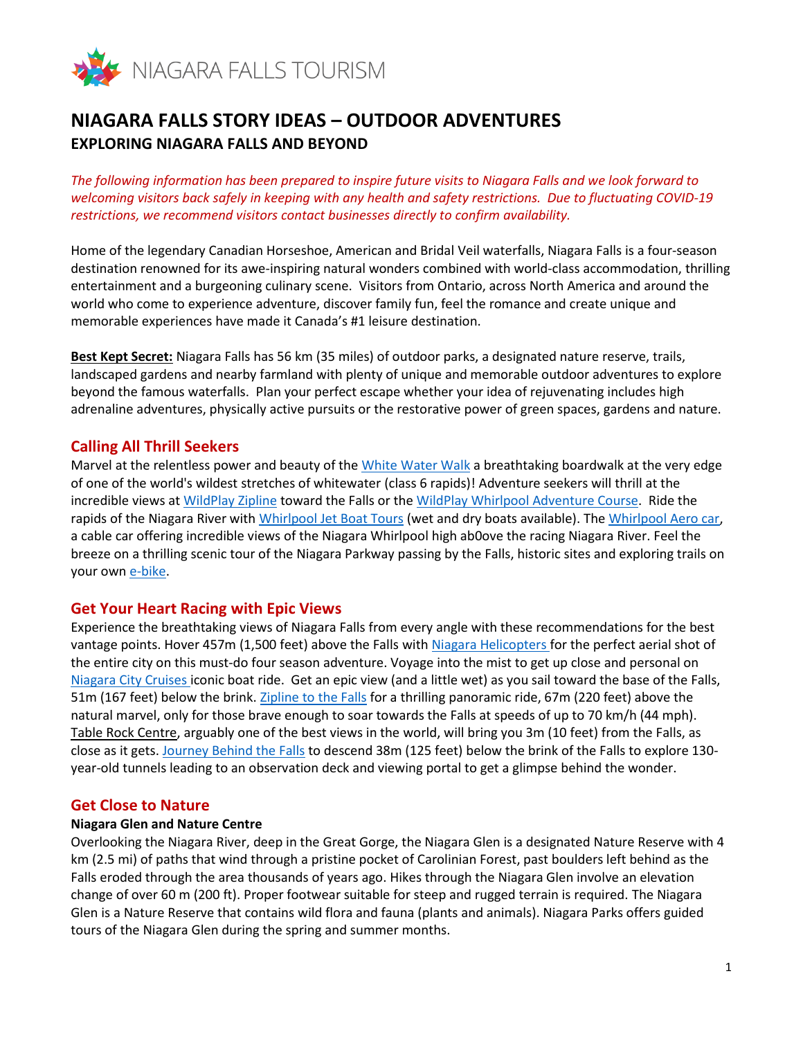

# **NIAGARA FALLS STORY IDEAS – OUTDOOR ADVENTURES EXPLORING NIAGARA FALLS AND BEYOND**

*The following information has been prepared to inspire future visits to Niagara Falls and we look forward to welcoming visitors back safely in keeping with any health and safety restrictions. Due to fluctuating COVID-19 restrictions, we recommend visitors contact businesses directly to confirm availability.*

Home of the legendary Canadian Horseshoe, American and Bridal Veil waterfalls, Niagara Falls is a four-season destination renowned for its awe-inspiring natural wonders combined with world-class accommodation, thrilling entertainment and a burgeoning culinary scene. Visitors from Ontario, across North America and around the world who come to experience adventure, discover family fun, feel the romance and create unique and memorable experiences have made it Canada's #1 leisure destination.

**Best Kept Secret:** Niagara Falls has 56 km (35 miles) of outdoor parks, a designated nature reserve, trails, landscaped gardens and nearby farmland with plenty of unique and memorable outdoor adventures to explore beyond the famous waterfalls. Plan your perfect escape whether your idea of rejuvenating includes high adrenaline adventures, physically active pursuits or the restorative power of green spaces, gardens and nature.

# **Calling All Thrill Seekers**

Marvel at the relentless power and beauty of the [White Water Walk](https://www.niagarafallstourism.com/play/outdoor-recreation/white-water-walk/) a breathtaking boardwalk at the very edge of one of the world's wildest stretches of whitewater (class 6 rapids)! Adventure seekers will thrill at the incredible views at [WildPlay Zipline](https://www.niagarafallstourism.com/play/falls-experiences/wildplay-zipline-to-the-falls/) toward the Falls or th[e WildPlay Whirlpool Adventure Course.](https://www.niagarafallstourism.com/play/outdoor-recreation/wildplay-whirlpool-adventure-course/) Ride the rapids of the Niagara River wit[h Whirlpool Jet Boat Tours](https://www.niagarafallstourism.com/play/outdoor-recreation/whirlpool-jet-boats/) (wet and dry boats available). The [Whirlpool Aero car,](https://www.niagarafallstourism.com/play/outdoor-recreation/whirlpool-aero-car/) a cable car offering incredible views of the Niagara Whirlpool high ab0ove the racing Niagara River. Feel the breeze on a thrilling scenic tour of the Niagara Parkway passing by the Falls, historic sites and exploring trails on your own [e-bike.](https://www.niagarafallstourism.com/play/sightseeing-tours/snap-ebike/)

# **Get Your Heart Racing with Epic Views**

Experience the breathtaking views of Niagara Falls from every angle with these recommendations for the best vantage points. Hover 457m (1,500 feet) above the Falls with [Niagara Helicopters](https://www.niagarafallstourism.com/play/falls-experiences/niagara-helicopters/) for the perfect aerial shot of the entire city on this must-do four season adventure. Voyage into the mist to get up close and personal on [Niagara City Cruises](https://www.niagarafallstourism.com/play/falls-experiences/hornblower/) iconic boat ride. Get an epic view (and a little wet) as you sail toward the base of the Falls, 51m (167 feet) below the brink. [Zipline to the Falls](https://www.niagarafallstourism.com/play/falls-experiences/wildplay-zipline-to-the-falls/) for a thrilling panoramic ride, 67m (220 feet) above the natural marvel, only for those brave enough to soar towards the Falls at speeds of up to 70 km/h (44 mph). Table Rock Centre, arguably one of the best views in the world, will bring you 3m (10 feet) from the Falls, as close as it gets. [Journey Behind the Falls](https://www.niagarafallstourism.com/play/falls-experiences/journey-behind-the-falls/) to descend 38m (125 feet) below the brink of the Falls to explore 130year-old tunnels leading to an observation deck and viewing portal to get a glimpse behind the wonder.

# **Get Close to Nature**

#### **Niagara Glen and Nature Centre**

Overlooking the Niagara River, deep in the Great Gorge, the Niagara Glen is a designated Nature Reserve with 4 km (2.5 mi) of paths that wind through a pristine pocket of Carolinian Forest, past boulders left behind as the Falls eroded through the area thousands of years ago. Hikes through the Niagara Glen involve an elevation change of over 60 m (200 ft). Proper footwear suitable for steep and rugged terrain is required. The Niagara Glen is a Nature Reserve that contains wild flora and fauna (plants and animals). Niagara Parks offers guided tours of the Niagara Glen during the spring and summer months.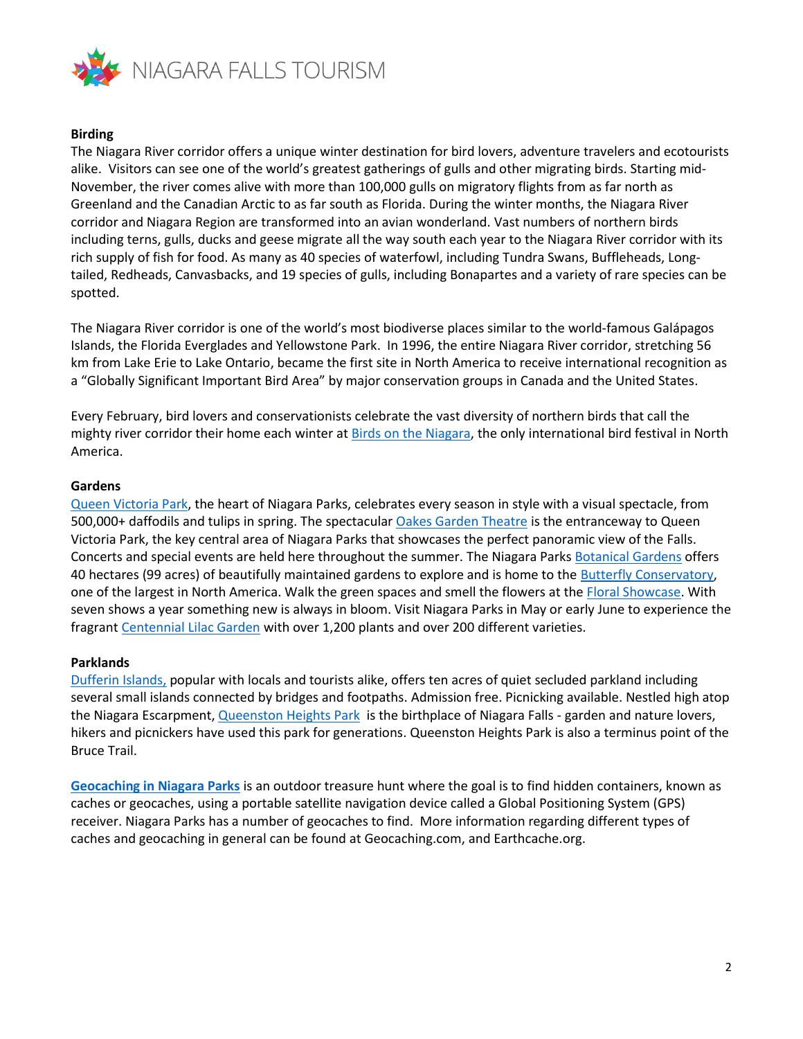

#### **Birding**

The Niagara River corridor offers a unique winter destination for bird lovers, adventure travelers and ecotourists alike. Visitors can see one of the world's greatest gatherings of gulls and other migrating birds. Starting mid-November, the river comes alive with more than 100,000 gulls on migratory flights from as far north as Greenland and the Canadian Arctic to as far south as Florida. During the winter months, the Niagara River corridor and Niagara Region are transformed into an avian wonderland. Vast numbers of northern birds including terns, gulls, ducks and geese migrate all the way south each year to the Niagara River corridor with its rich supply of fish for food. As many as 40 species of waterfowl, including Tundra Swans, Buffleheads, Longtailed, Redheads, Canvasbacks, and 19 species of gulls, including Bonapartes and a variety of rare species can be spotted.

The Niagara River corridor is one of the world's most biodiverse places similar to the world-famous Galápagos Islands, the Florida Everglades and Yellowstone Park. In 1996, the entire Niagara River corridor, stretching 56 km from Lake Erie to Lake Ontario, became the first site in North America to receive international recognition as a "Globally Significant Important Bird Area" by major conservation groups in Canada and the United States.

Every February, bird lovers and conservationists celebrate the vast diversity of northern birds that call the mighty river corridor their home each winter at [Birds on the Niagara,](http://www.birdsontheniagara.org/) the only international bird festival in North America.

#### **Gardens**

[Queen Victoria Park,](https://www.niagarafallstourism.com/play/outdoor-recreation/queen-victoria-park/) the heart of Niagara Parks, celebrates every season in style with a visual spectacle, from 500,000+ daffodils and tulips in spring. The spectacular [Oakes Garden Theatre](https://www.niagarafallstourism.com/play/outdoor-recreation/oakes-garden-theatre/) is the entranceway to Queen Victoria Park, the key central area of Niagara Parks that showcases the perfect panoramic view of the Falls. Concerts and special events are held here throughout the summer. The Niagara Parks [Botanical Gardens](https://www.niagarafallstourism.com/play/outdoor-recreation/niagara-parks-botanical-gardens/) offers 40 hectares (99 acres) of beautifully maintained gardens to explore and is home to the [Butterfly Conservatory,](https://www.niagarafallstourism.com/play/attractions/butterfly-conservatory/) one of the largest in North America. Walk the green spaces and smell the flowers at th[e Floral Showcase.](https://www.niagarafallstourism.com/play/outdoor-recreation/floral-showhouse/) With seven shows a year something new is always in bloom. Visit Niagara Parks in May or early June to experience the fragran[t Centennial Lilac Garden](https://www.niagarafallstourism.com/play/outdoor-recreation/centennial-lilac-garden/) with over 1,200 plants and over 200 different varieties.

#### **Parklands**

[Dufferin Islands,](https://www.niagarafallstourism.com/play/outdoor-recreation/dufferin-islands/) popular with locals and tourists alike, offers ten acres of quiet secluded parkland including several small islands connected by bridges and footpaths. Admission free. Picnicking available. Nestled high atop the Niagara Escarpment[, Queenston Heights Park](https://www.niagarafallstourism.com/play/outdoor-recreation/queenston-heights/) is the birthplace of Niagara Falls - garden and nature lovers, hikers and picnickers have used this park for generations. Queenston Heights Park is also a terminus point of the Bruce Trail.

**[Geocaching in Niagara Parks](https://www.niagaraparks.com/visit-niagara-parks/nature-activities/geocaching/)** is an outdoor treasure hunt where the goal is to find hidden containers, known as caches or geocaches, using a portable satellite navigation device called a Global Positioning System (GPS) receiver. Niagara Parks has a number of geocaches to find. More information regarding different types of caches and geocaching in general can be found at Geocaching.com, and Earthcache.org.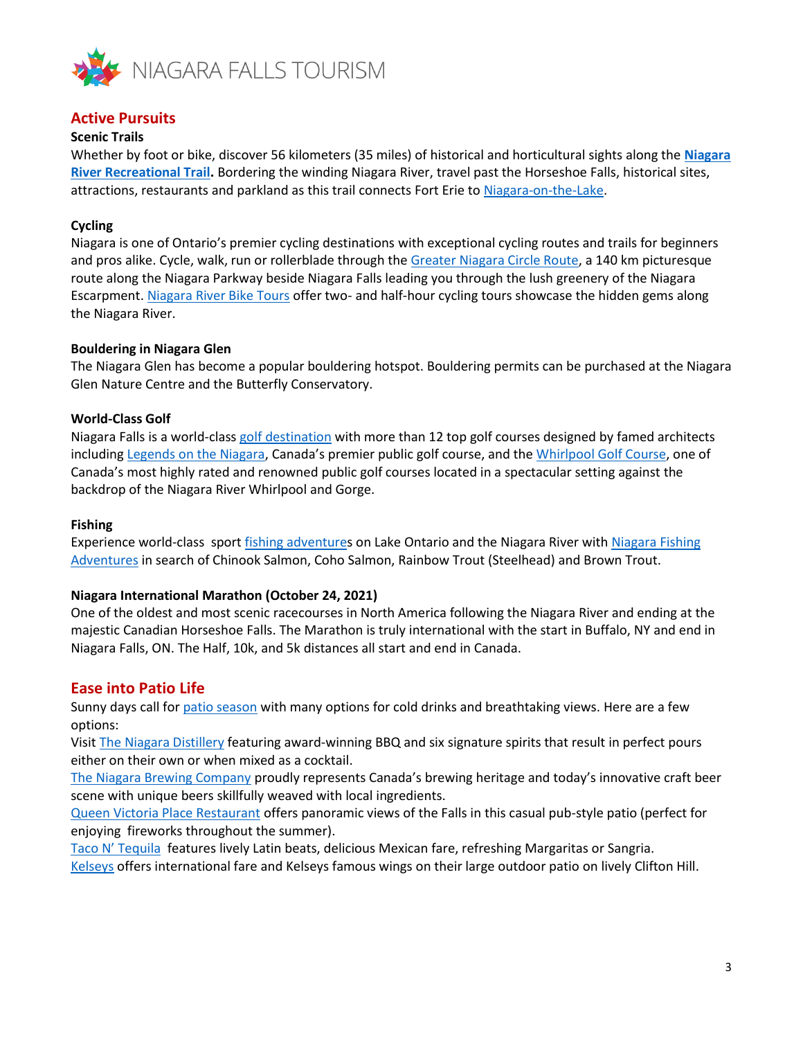

# **Active Pursuits**

### **Scenic Trails**

Whether by foot or bike, discover 56 kilometers (35 miles) of historical and horticultural sights along the **[Niagara](https://www.niagarafallstourism.com/play/outdoor-recreation/the-niagara-river-recreation-trail/)  [River Recreational Trail.](https://www.niagarafallstourism.com/play/outdoor-recreation/the-niagara-river-recreation-trail/)** Bordering the winding Niagara River, travel past the Horseshoe Falls, historical sites, attractions, restaurants and parkland as this trail connects Fort Erie to [Niagara-on-the-Lake.](https://www.niagarafallstourism.com/niagara-region/niagara-on-the-lake/)

# **Cycling**

Niagara is one of Ontario's premier cycling destinations with exceptional cycling routes and trails for beginners and pros alike. Cycle, walk, run or rollerblade through the [Greater Niagara Circle Route,](https://www.niagarafallstourism.com/cycling/#greater-niagara-circle-route) a 140 km picturesque route along the Niagara Parkway beside Niagara Falls leading you through the lush greenery of the Niagara Escarpment. [Niagara River Bike Tours](https://www.niagarafallstourism.com/play/sightseeing-tours/niagara-river-bike-tours/) offer two- and half-hour cycling tours showcase the hidden gems along the Niagara River.

#### **Bouldering in Niagara Glen**

The Niagara Glen has become a popular bouldering hotspot. Bouldering permits can be purchased at the Niagara Glen Nature Centre and the Butterfly Conservatory.

#### **World-Class Golf**

Niagara Falls is a world-class [golf destination](https://www.niagarafallstourism.com/play/golf/) with more than 12 top golf courses designed by famed architects including [Legends on the Niagara,](https://www.niagarafallstourism.com/play/golf/legends-on-the-niagara-golf-complex/) Canada's premier public golf course, and the [Whirlpool Golf Course,](https://www.niagarafallstourism.com/play/golf/whirlpool-golf-course/) one of Canada's most highly rated and renowned public golf courses located in a spectacular setting against the backdrop of the Niagara River Whirlpool and Gorge.

#### **Fishing**

Experience world-class spor[t fishing adventures](https://www.niagarafallstourism.com/play/outdoor-recreation/niagara-fishing-adventures/) on Lake Ontario and the Niagara River with [Niagara Fishing](https://www.niagarafallstourism.com/play/outdoor-recreation/niagara-fishing-adventures/)  [Adventures](https://www.niagarafallstourism.com/play/outdoor-recreation/niagara-fishing-adventures/) in search of Chinook Salmon, Coho Salmon, Rainbow Trout (Steelhead) and Brown Trout.

#### **Niagara International Marathon (October 24, 2021)**

One of the oldest and most scenic racecourses in North America following the Niagara River and ending at the majestic Canadian Horseshoe Falls. The Marathon is truly international with the start in Buffalo, NY and end in Niagara Falls, ON. The Half, 10k, and 5k distances all start and end in Canada.

# **Ease into Patio Life**

Sunny days call for [patio season](https://www.niagarafallstourism.com/blog/summertime-on-the-patio/) with many options for cold drinks and breathtaking views. Here are a few options:

Visit [The Niagara Distillery](https://www.niagarafallstourism.com/play/wineries-breweries/niagara-distillery/) featuring award-winning BBQ and six signature spirits that result in perfect pours either on their own or when mixed as a cocktail.

[The Niagara Brewing Company](https://www.niagarafallstourism.com/play/wineries-breweries/niagara-brewing-company/) proudly represents Canada's brewing heritage and today's innovative craft beer scene with unique beers skillfully weaved with local ingredients.

[Queen Victoria Place Restaurant](https://www.niagarafallstourism.com/eat/fallsview-dining/queen-victoria-place/) offers panoramic views of the Falls in this casual pub-style patio (perfect for enjoying fireworks throughout the summer).

[Taco N' Tequila](https://www.niagarafallstourism.com/eat/casual-dining/taco-n-tequila/) features lively Latin beats, delicious Mexican fare, refreshing Margaritas or Sangria. [Kelseys](https://www.niagarafallstourism.com/eat/casual-dining/kelseys-bar-grill/) offers international fare and Kelseys famous wings on their large outdoor patio on lively Clifton Hill.